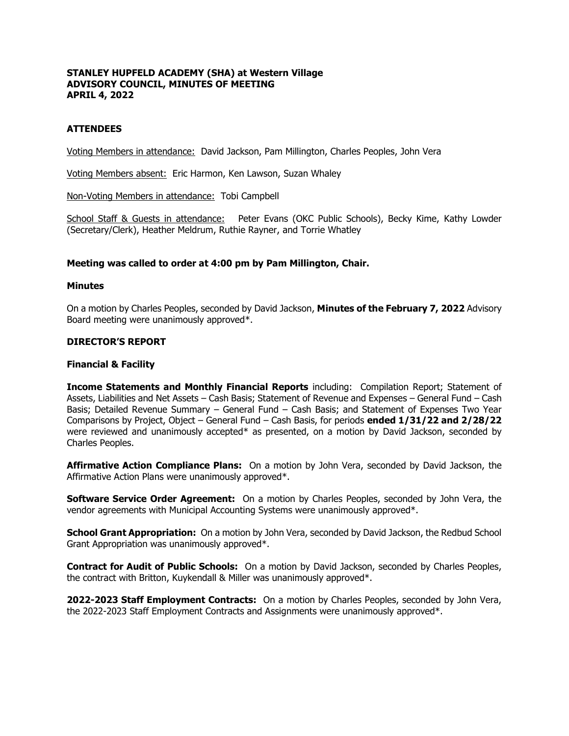# **STANLEY HUPFELD ACADEMY (SHA) at Western Village ADVISORY COUNCIL, MINUTES OF MEETING APRIL 4, 2022**

# **ATTENDEES**

Voting Members in attendance: David Jackson, Pam Millington, Charles Peoples, John Vera

Voting Members absent: Eric Harmon, Ken Lawson, Suzan Whaley

Non-Voting Members in attendance: Tobi Campbell

School Staff & Guests in attendance: Peter Evans (OKC Public Schools), Becky Kime, Kathy Lowder (Secretary/Clerk), Heather Meldrum, Ruthie Rayner, and Torrie Whatley

# **Meeting was called to order at 4:00 pm by Pam Millington, Chair.**

### **Minutes**

On a motion by Charles Peoples, seconded by David Jackson, **Minutes of the February 7, 2022** Advisory Board meeting were unanimously approved\*.

# **DIRECTOR'S REPORT**

### **Financial & Facility**

**Income Statements and Monthly Financial Reports** including: Compilation Report; Statement of Assets, Liabilities and Net Assets – Cash Basis; Statement of Revenue and Expenses – General Fund – Cash Basis; Detailed Revenue Summary – General Fund – Cash Basis; and Statement of Expenses Two Year Comparisons by Project, Object – General Fund – Cash Basis, for periods **ended 1/31/22 and 2/28/22** were reviewed and unanimously accepted\* as presented, on a motion by David Jackson, seconded by Charles Peoples.

**Affirmative Action Compliance Plans:** On a motion by John Vera, seconded by David Jackson, the Affirmative Action Plans were unanimously approved\*.

**Software Service Order Agreement:** On a motion by Charles Peoples, seconded by John Vera, the vendor agreements with Municipal Accounting Systems were unanimously approved\*.

**School Grant Appropriation:** On a motion by John Vera, seconded by David Jackson, the Redbud School Grant Appropriation was unanimously approved\*.

**Contract for Audit of Public Schools:** On a motion by David Jackson, seconded by Charles Peoples, the contract with Britton, Kuykendall & Miller was unanimously approved\*.

**2022-2023 Staff Employment Contracts:** On a motion by Charles Peoples, seconded by John Vera, the 2022-2023 Staff Employment Contracts and Assignments were unanimously approved\*.